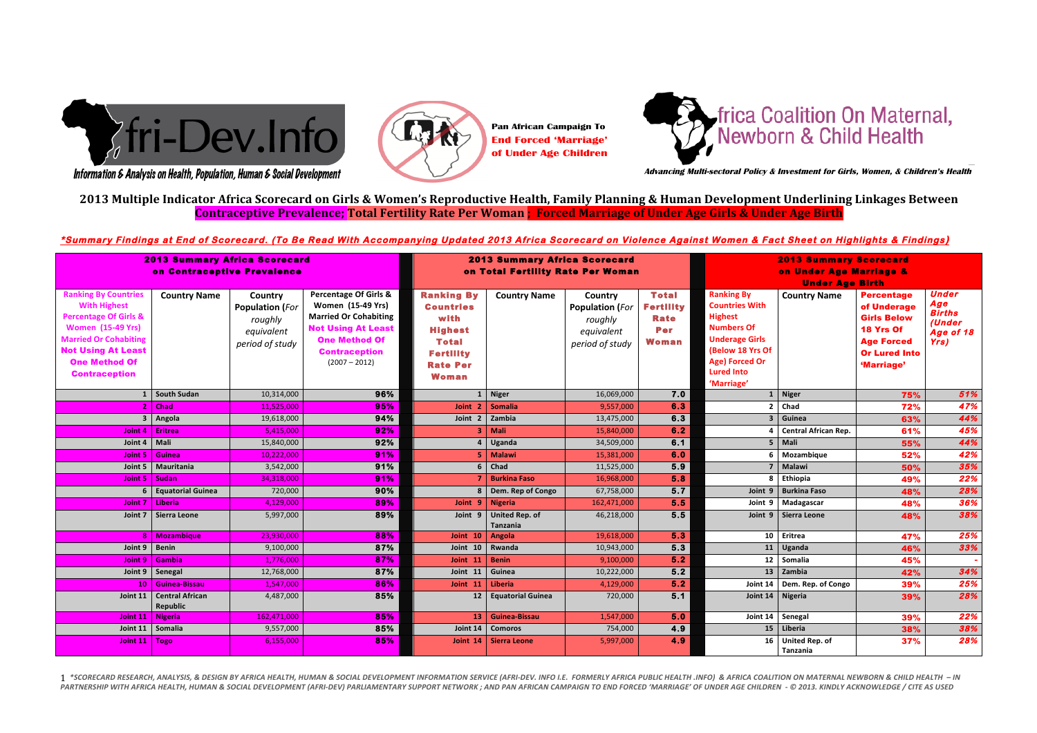# 2013 Multiple Indicator Africa Scorecard on Girls & Women's Reproductive Health, Family Planning & Human Development Underlining Linkages Between Contraceptive Prevalence; Total Fertility Rate Per Woman; Forced Marriage of Under Age Girls & Under Age Birth *"Child'marriage'and'the'betrothal'of'girls'and'boys'shall'be'prohibited'and'effective'*

# <u>.</u><br>\*Summary Findings at End of Scorecard. (To Be Read With Accompanying Updated 2013 Africa Scorecard on Violence Against Women & Fact Sheet on Highlights & Findings

| <b>2013 Summary Africa Scorecard</b><br>on Contraceptive Prevalence                                                                                                                                                             |                                        |                                                                               |                                                                                                                                                                                              | <b>2013 Summary Africa Scorecard</b><br>on Total Fertility Rate Per Woman                                                              |                                   |                                                                               |                                                                        | <b>2013 Summary Scorecard</b><br>on Under Age Marriage &<br><b>Under Age Birth</b>                                                                                                  |                                   |                                                                                                                                |                                                                     |
|---------------------------------------------------------------------------------------------------------------------------------------------------------------------------------------------------------------------------------|----------------------------------------|-------------------------------------------------------------------------------|----------------------------------------------------------------------------------------------------------------------------------------------------------------------------------------------|----------------------------------------------------------------------------------------------------------------------------------------|-----------------------------------|-------------------------------------------------------------------------------|------------------------------------------------------------------------|-------------------------------------------------------------------------------------------------------------------------------------------------------------------------------------|-----------------------------------|--------------------------------------------------------------------------------------------------------------------------------|---------------------------------------------------------------------|
| <b>Ranking By Countries</b><br><b>With Highest</b><br><b>Percentage Of Girls &amp;</b><br><b>Women (15-49 Yrs)</b><br><b>Married Or Cohabiting</b><br><b>Not Using At Least</b><br><b>One Method Of</b><br><b>Contraception</b> | <b>Country Name</b>                    | Country<br><b>Population (For</b><br>roughly<br>equivalent<br>period of study | <b>Percentage Of Girls &amp;</b><br><b>Women</b> (15-49 Yrs)<br><b>Married Or Cohabiting</b><br><b>Not Using At Least</b><br><b>One Method Of</b><br><b>Contraception</b><br>$(2007 - 2012)$ | <b>Ranking By</b><br><b>Countries</b><br>with<br><b>Highest</b><br><b>Total</b><br><b>Fertility</b><br><b>Rate Per</b><br><b>Woman</b> | <b>Country Name</b>               | Country<br><b>Population (For</b><br>roughly<br>equivalent<br>period of study | <b>Total</b><br><b>Fertility</b><br><b>Rate</b><br>Per<br><b>Woman</b> | <b>Ranking By</b><br><b>Countries With</b><br><b>Highest</b><br><b>Numbers Of</b><br><b>Underage Girls</b><br>(Below 18 Yrs Of<br>Age) Forced Or<br><b>Lured Into</b><br>'Marriage' | <b>Country Name</b>               | <b>Percentage</b><br>of Underage<br><b>Girls Below</b><br>18 Yrs Of<br><b>Age Forced</b><br><b>Or Lured Into</b><br>'Marriage' | <b>Under</b><br>Age<br><b>Births</b><br>(Under<br>Age of 18<br>Yrs) |
|                                                                                                                                                                                                                                 | South Sudan                            | 10,314,000                                                                    | 96%                                                                                                                                                                                          |                                                                                                                                        | <b>Niger</b>                      | 16,069,000                                                                    | 7.0                                                                    | $\mathbf{1}$                                                                                                                                                                        | <b>Niger</b>                      | 75%                                                                                                                            | 51%                                                                 |
| 2                                                                                                                                                                                                                               | <b>Chad</b>                            | 11,525,000                                                                    | 95%                                                                                                                                                                                          | Joint <sub>2</sub>                                                                                                                     | <b>Somalia</b>                    | 9,557,000                                                                     | 6.3                                                                    | $\mathbf{z}$                                                                                                                                                                        | Chad                              | 72%                                                                                                                            | 47%                                                                 |
|                                                                                                                                                                                                                                 | 3   Angola                             | 19,618,000                                                                    | 94%                                                                                                                                                                                          | Joint 2                                                                                                                                | Zambia                            | 13,475,000                                                                    | 6.3                                                                    | 3                                                                                                                                                                                   | Guinea                            | 63%                                                                                                                            | 44%                                                                 |
| Joint $41$                                                                                                                                                                                                                      | <b>Eritrea</b>                         | 5,415,000                                                                     | 92%                                                                                                                                                                                          | 3                                                                                                                                      | Mali                              | 15,840,000                                                                    | 6.2                                                                    |                                                                                                                                                                                     | <b>Central African Rep.</b>       | 61%                                                                                                                            | 45%                                                                 |
| Joint 4                                                                                                                                                                                                                         | Mali                                   | 15,840,000                                                                    | 92%                                                                                                                                                                                          |                                                                                                                                        | Uganda                            | 34,509,000                                                                    | 6.1                                                                    | 5                                                                                                                                                                                   | Mali                              | 55%                                                                                                                            | 44%                                                                 |
|                                                                                                                                                                                                                                 | Joint 5 Guinea                         | 10,222,000                                                                    | 91%                                                                                                                                                                                          |                                                                                                                                        | Malawi                            | 15,381,000                                                                    | 6.0                                                                    | 6                                                                                                                                                                                   | Mozambique                        | 52%                                                                                                                            | 42%                                                                 |
| Joint 5                                                                                                                                                                                                                         | Mauritania                             | 3,542,000                                                                     | 91%                                                                                                                                                                                          |                                                                                                                                        | $6$ Chad                          | 11,525,000                                                                    | 5.9                                                                    | 7                                                                                                                                                                                   | Malawi                            | 50%                                                                                                                            | 35%                                                                 |
| Joint 5   Sudan                                                                                                                                                                                                                 |                                        | 34,318,000                                                                    | 91%                                                                                                                                                                                          |                                                                                                                                        | <b>Burkina Faso</b>               | 16,968,000                                                                    | 5.8                                                                    | 8                                                                                                                                                                                   | Ethiopia                          | 49%                                                                                                                            | 22%                                                                 |
| 6                                                                                                                                                                                                                               | <b>Equatorial Guinea</b>               | 720,000                                                                       | 90%                                                                                                                                                                                          |                                                                                                                                        | Dem. Rep of Congo                 | 67,758,000                                                                    | 5.7                                                                    | Joint 9                                                                                                                                                                             | <b>Burkina Faso</b>               | 48%                                                                                                                            | 28%                                                                 |
| Joint 7                                                                                                                                                                                                                         | l Liberia                              | 4,129,000                                                                     | 89%                                                                                                                                                                                          | Joint 9                                                                                                                                | <b>Nigeria</b>                    | 162,471,000                                                                   | 5.5                                                                    | Joint 9                                                                                                                                                                             | Madagascar                        | 48%                                                                                                                            | 36%                                                                 |
| Joint 7                                                                                                                                                                                                                         | Sierra Leone                           | 5,997,000                                                                     | 89%                                                                                                                                                                                          | Joint 9                                                                                                                                | <b>United Rep. of</b><br>Tanzania | 46,218,000                                                                    | 5.5                                                                    | Joint 9                                                                                                                                                                             | Sierra Leone                      | 48%                                                                                                                            | 38%                                                                 |
|                                                                                                                                                                                                                                 | 8   Mozambique                         | 23,930,000                                                                    | 88%                                                                                                                                                                                          | Joint 10                                                                                                                               | Angola                            | 19,618,000                                                                    | 5.3                                                                    | 10                                                                                                                                                                                  | Eritrea                           | 47%                                                                                                                            | 25%                                                                 |
| Joint 9                                                                                                                                                                                                                         | <b>Benin</b>                           | 9,100,000                                                                     | 87%                                                                                                                                                                                          | Joint 10                                                                                                                               | Rwanda                            | 10,943,000                                                                    | 5.3                                                                    | 11                                                                                                                                                                                  | Uganda                            | 46%                                                                                                                            | 33%                                                                 |
| Joint $91$                                                                                                                                                                                                                      | <b>Gambia</b>                          | 1,776,000                                                                     | 87%                                                                                                                                                                                          | Joint 11                                                                                                                               | <b>Benin</b>                      | 9,100,000                                                                     | 5.2                                                                    | 12                                                                                                                                                                                  | Somalia                           | 45%                                                                                                                            |                                                                     |
|                                                                                                                                                                                                                                 | Joint 9 Senegal                        | 12,768,000                                                                    | 87%                                                                                                                                                                                          | Joint 11                                                                                                                               | Guinea                            | 10,222,000                                                                    | 5.2                                                                    | 13                                                                                                                                                                                  | Zambia                            | 42%                                                                                                                            | 34%                                                                 |
|                                                                                                                                                                                                                                 | 10   Guinea-Bissau                     | 1,547,000                                                                     | 86%                                                                                                                                                                                          | Joint 11                                                                                                                               | Liberia                           | 4,129,000                                                                     | 5.2                                                                    | Joint 14                                                                                                                                                                            | Dem. Rep. of Congo                | 39%                                                                                                                            | 25%                                                                 |
|                                                                                                                                                                                                                                 | Joint 11   Central African<br>Republic | 4,487,000                                                                     | 85%                                                                                                                                                                                          | 12                                                                                                                                     | <b>Equatorial Guinea</b>          | 720,000                                                                       | 5.1                                                                    | Joint 14                                                                                                                                                                            | Nigeria                           | 39%                                                                                                                            | 28%                                                                 |
| Joint $11$                                                                                                                                                                                                                      | <b>Nigeria</b>                         | 162,471,000                                                                   | 85%                                                                                                                                                                                          |                                                                                                                                        | 13 Guinea-Bissau                  | 1,547,000                                                                     | 5.0                                                                    | Joint 14                                                                                                                                                                            | Senegal                           | 39%                                                                                                                            | 22%                                                                 |
| Joint 11                                                                                                                                                                                                                        | Somalia                                | 9,557,000                                                                     | 85%                                                                                                                                                                                          | Joint 14                                                                                                                               | <b>Comoros</b>                    | 754,000                                                                       | 4.9                                                                    | 15                                                                                                                                                                                  | Liberia                           | 38%                                                                                                                            | 38%                                                                 |
| Joint $11$                                                                                                                                                                                                                      | <b>Togo</b>                            | 6,155,000                                                                     | 85%                                                                                                                                                                                          | Joint 14                                                                                                                               | Sierra Leone                      | 5,997,000                                                                     | 4.9                                                                    | 16                                                                                                                                                                                  | <b>United Rep. of</b><br>Tanzania | 37%                                                                                                                            | 28%                                                                 |

1 \*SCORECARD RESEARCH, ANALYSIS, & DESIGN BY AFRICA HEALTH, HUMAN & SOCIAL DEVELOPMENT INFORMATION SERVICE (AFRI-DEV. INFO I.E. FORMERLY AFRICA PUBLIC HEALTH .INFO) & AFRICA COALITION ON MATERNAL NEWBORN & CHILD HEALTH – PARTNERSHIP WITH AFRICA HEALTH, HUMAN & SOCIAL DEVELOPMENT (AFRI-DEV) PARLIAMENTARY SUPPORT NETWORK ; AND PAN AFRICAN CAMPAIGN TO END FORCED 'MARRIAGE' OF UNDER AGE CHILDREN - © 2013. KINDLY ACKNOWLEDGE / CITE AS USED

# frica Coalition On Maternal,<br>Newborn & Child Health

Information & Analysis on Health, Population, Human & Social Development





**Pan African Campaign To End Forced 'Marriage' of Under Age Children**



 **Advancing Multi-sectoral Policy & Investment for Girls, Women, & Children's Health**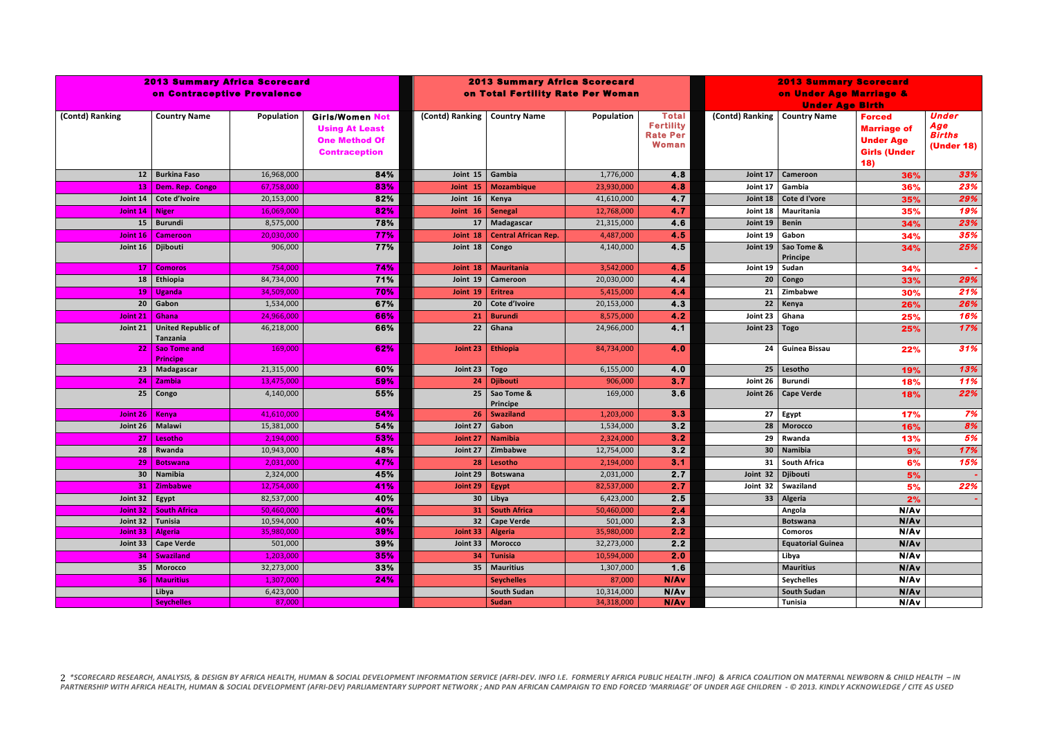| <b>2013 Summary Africa Scorecard</b><br>on Contraceptive Prevalence | <b>2013 Summary Africa Scorecard</b><br>on Total Fertility Rate Per Woman |                          |                                                                                                 |                   | <b>2013 Summary Scorecard</b><br>on Under Age Marriage &<br><b>Under Age Birth</b> |                       |                                                                     |                 |                                   |                                                                                       |                                                           |
|---------------------------------------------------------------------|---------------------------------------------------------------------------|--------------------------|-------------------------------------------------------------------------------------------------|-------------------|------------------------------------------------------------------------------------|-----------------------|---------------------------------------------------------------------|-----------------|-----------------------------------|---------------------------------------------------------------------------------------|-----------------------------------------------------------|
| (Contd) Ranking                                                     | <b>Country Name</b>                                                       | Population               | <b>Girls/Women Not</b><br><b>Using At Least</b><br><b>One Method Of</b><br><b>Contraception</b> | (Contd) Ranking   | <b>Country Name</b>                                                                | Population            | <b>Total</b><br><b>Fertility</b><br><b>Rate Per</b><br><b>Woman</b> | (Contd) Ranking | <b>Country Name</b>               | <b>Forced</b><br><b>Marriage of</b><br><b>Under Age</b><br><b>Girls (Under</b><br>18) | <b>Under</b><br>Age<br><b>Births</b><br><b>(Under 18)</b> |
|                                                                     | 12 Burkina Faso                                                           | 16,968,000               | 84%                                                                                             | Joint 15          | Gambia                                                                             | 1,776,000             | 4.8                                                                 | Joint 17        | Cameroon                          | 36%                                                                                   | 33%                                                       |
|                                                                     | 13   Dem. Rep. Congo                                                      | 67,758,000               | 83%                                                                                             | Joint 15          | <b>Mozambique</b>                                                                  | 23,930,000            | 4.8                                                                 | Joint 17        | Gambia                            | 36%                                                                                   | 23%                                                       |
| Joint $14$                                                          | Cote d'Ivoire                                                             | 20,153,000               | 82%                                                                                             | Joint 16          | Kenya                                                                              | 41,610,000            | 4.7                                                                 | Joint 18        | Cote d I'vore                     | 35%                                                                                   | 29%                                                       |
| Joint $14$   Niger                                                  |                                                                           | 16,069,000               | 82%                                                                                             | Joint 16          | Senegal                                                                            | 12,768,000            | 4.7                                                                 | Joint 18        | Mauritania                        | 35%                                                                                   | 19%                                                       |
|                                                                     | 15   Burundi                                                              | 8,575,000                | 78%                                                                                             | 17 <sup>1</sup>   | Madagascar                                                                         | 21,315,000            | 4.6                                                                 | Joint 19        | <b>Benin</b>                      | 34%                                                                                   | 23%                                                       |
|                                                                     | Joint 16   Cameroon                                                       | 20,030,000               | 77%                                                                                             | Joint 18          | <b>Central African Rep.</b>                                                        | 4,487,000             | 4.5                                                                 | Joint 19        | Gabon                             | 34%                                                                                   | 35%                                                       |
| Joint $16$                                                          | Djibouti                                                                  | 906,000                  | 77%                                                                                             | Joint 18          | Congo                                                                              | 4,140,000             | 4.5                                                                 | Joint 19        | Sao Tome &<br>Principe            | 34%                                                                                   | 25%                                                       |
|                                                                     | 17   Comoros                                                              | 754,000                  | 74%                                                                                             | Joint 18          | <b>Mauritania</b>                                                                  | 3,542,000             | 4.5                                                                 | Joint 19        | Sudan                             | 34%                                                                                   |                                                           |
|                                                                     | $18$ Ethiopia                                                             | 84,734,000               | 71%                                                                                             | Joint 19          | Cameroon                                                                           | 20,030,000            | 4.4                                                                 |                 | $20$ Congo                        | 33%                                                                                   | 29%                                                       |
|                                                                     | $19$ Uganda                                                               | 34,509,000               | 70%                                                                                             | Joint 19          | Eritrea                                                                            | 5,415,000             | 4.4                                                                 | 21 <sup>1</sup> | Zimbabwe                          | 30%                                                                                   | 21%                                                       |
|                                                                     | 20 Gabon                                                                  | 1,534,000                | 67%                                                                                             |                   | 20   Cote d'Ivoire                                                                 | 20,153,000            | 4.3                                                                 |                 | 22 Kenya                          | 26%                                                                                   | 26%                                                       |
| Joint 21   Ghana                                                    |                                                                           | 24,966,000               | 66%                                                                                             |                   | 21   Burundi                                                                       | 8,575,000             | 4.2                                                                 | Joint 23 Ghana  |                                   | 25%                                                                                   | 16%                                                       |
| Joint $21$                                                          | <b>United Republic of</b><br>Tanzania                                     | 46,218,000               | 66%                                                                                             | 22                | Ghana                                                                              | 24,966,000            | 4.1                                                                 | Joint 23   Togo |                                   | 25%                                                                                   | 17%                                                       |
|                                                                     | 22 Sao Tome and<br><b>Principe</b>                                        | 169,000                  | 62%                                                                                             | Joint $23$        | <b>Ethiopia</b>                                                                    | 84,734,000            | 4.0                                                                 | 24              | Guinea Bissau                     | 22%                                                                                   | 31%                                                       |
|                                                                     | 23 Madagascar                                                             | 21,315,000               | 60%                                                                                             | Joint 23   $Togo$ |                                                                                    | 6,155,000             | 4.0                                                                 | 25              | Lesotho                           | 19%                                                                                   | 13%                                                       |
| 24 <sub>1</sub>                                                     | <b>Zambia</b>                                                             | 13,475,000               | 59%                                                                                             |                   | 24   Djibouti                                                                      | 906,000               | 3.7                                                                 |                 | Joint 26 Burundi                  | 18%                                                                                   | 11%                                                       |
| 25                                                                  | Congo                                                                     | 4,140,000                | 55%                                                                                             |                   | 25   Sao Tome &<br>Principe                                                        | 169,000               | 3.6                                                                 | Joint 26 $ $    | <b>Cape Verde</b>                 | 18%                                                                                   | 22%                                                       |
| Joint 26   Kenya                                                    |                                                                           | 41,610,000               | 54%                                                                                             |                   | 26   Swaziland                                                                     | 1,203,000             | 3.3                                                                 | 27              | Egypt                             | 17%                                                                                   | 7%                                                        |
| Joint 26   Malawi                                                   |                                                                           | 15,381,000               | 54%                                                                                             | Joint 27          | Gabon                                                                              | 1,534,000             | 3.2                                                                 | 28              | <b>Morocco</b>                    | 16%                                                                                   | 8%                                                        |
|                                                                     | $27$ Lesotho                                                              | 2,194,000                | 53%                                                                                             | Joint 27          | <b>Namibia</b>                                                                     | 2,324,000             | 3.2                                                                 | 29              | Rwanda                            | 13%                                                                                   | 5%                                                        |
|                                                                     | $28$ Rwanda                                                               | 10,943,000               | 48%                                                                                             | Joint 27          | Zimbabwe                                                                           | 12,754,000            | 3.2                                                                 |                 | 30 Namibia                        | 9%                                                                                    | 17%                                                       |
|                                                                     | 29 Botswana                                                               | 2,031,000                | 47%                                                                                             |                   | $28$ Lesotho                                                                       | 2,194,000             | 3.1                                                                 |                 | 31 South Africa                   | 6%                                                                                    | 15%                                                       |
|                                                                     | 30 Namibia                                                                | 2,324,000                | 45%                                                                                             |                   | Joint 29   Botswana                                                                | 2,031,000             | 2.7                                                                 |                 | Joint 32   Djibouti               | 5%                                                                                    |                                                           |
|                                                                     | 31 Zimbabwe                                                               | 12,754,000               | 41%                                                                                             | Joint 29   Egypt  |                                                                                    | 82,537,000            | 2.7                                                                 |                 | Joint 32   Swaziland              | 5%                                                                                    | 22%                                                       |
| Joint 32 Egypt                                                      |                                                                           | 82,537,000               | 40%                                                                                             |                   | $30$ Libya                                                                         | 6,423,000             | 2.5                                                                 |                 | 33 Algeria                        | 2%                                                                                    |                                                           |
| Joint $32$                                                          | <b>South Africa</b>                                                       | 50,460,000               | 40%                                                                                             |                   | 31   South Africa                                                                  | 50,460,000            | 2.4                                                                 |                 | Angola                            | N/Av                                                                                  |                                                           |
|                                                                     | Joint 32   Tunisia                                                        | 10,594,000<br>35,980,000 | 40%<br>39%                                                                                      |                   | 32 Cape Verde<br>Joint 33   Algeria                                                | 501,000<br>35,980,000 | 2.3<br>2.2                                                          |                 | <b>Botswana</b><br><b>Comoros</b> | <b>N/Av</b><br>N/Av                                                                   |                                                           |
|                                                                     | Joint 33   Algeria<br>Joint 33   Cape Verde                               | 501,000                  | 39%                                                                                             |                   | Joint 33   Morocco                                                                 | 32,273,000            | 2.2                                                                 |                 | <b>Equatorial Guinea</b>          | <b>N/Av</b>                                                                           |                                                           |
|                                                                     | 34   Swaziland                                                            | 1,203,000                | 35%                                                                                             |                   | 34   Tunisia                                                                       | 10,594,000            | 2.0                                                                 |                 | Libya                             | <b>N/Av</b>                                                                           |                                                           |
|                                                                     | 35   Morocco                                                              | 32,273,000               | 33%                                                                                             |                   | 35   Mauritius                                                                     | 1,307,000             | 1.6                                                                 |                 | <b>Mauritius</b>                  | <b>N/Av</b>                                                                           |                                                           |
|                                                                     | 36   Mauritius                                                            | 1,307,000                | 24%                                                                                             |                   | <b>Seychelles</b>                                                                  | 87,000                | <b>N/Av</b>                                                         |                 | <b>Seychelles</b>                 | <b>N/Av</b>                                                                           |                                                           |
|                                                                     | Libya                                                                     | 6,423,000                |                                                                                                 |                   | <b>South Sudan</b>                                                                 | 10,314,000            | N/Av                                                                |                 | <b>South Sudan</b>                | <b>N/Av</b>                                                                           |                                                           |
|                                                                     | <b>Seychelles</b>                                                         | 87,000                   |                                                                                                 |                   | Sudan                                                                              | 34,318,000            | <b>N/Av</b>                                                         |                 | Tunisia                           | N/Av                                                                                  |                                                           |

2 \*SCORECARD RESEARCH, ANALYSIS, & DESIGN BY AFRICA HEALTH, HUMAN & SOCIAL DEVELOPMENT INFORMATION SERVICE (AFRI-DEV. INFO I.E. FORMERLY AFRICA PUBLIC HEALTH .INFO) & AFRICA COALITION ON MATERNAL NEWBORN & CHILD HEALTH – PARTNERSHIP WITH AFRICA HEALTH, HUMAN & SOCIAL DEVELOPMENT (AFRI-DEV) PARLIAMENTARY SUPPORT NETWORK ; AND PAN AFRICAN CAMPAIGN TO END FORCED 'MARRIAGE' OF UNDER AGE CHILDREN - © 2013. KINDLY ACKNOWLEDGE / CITE AS USED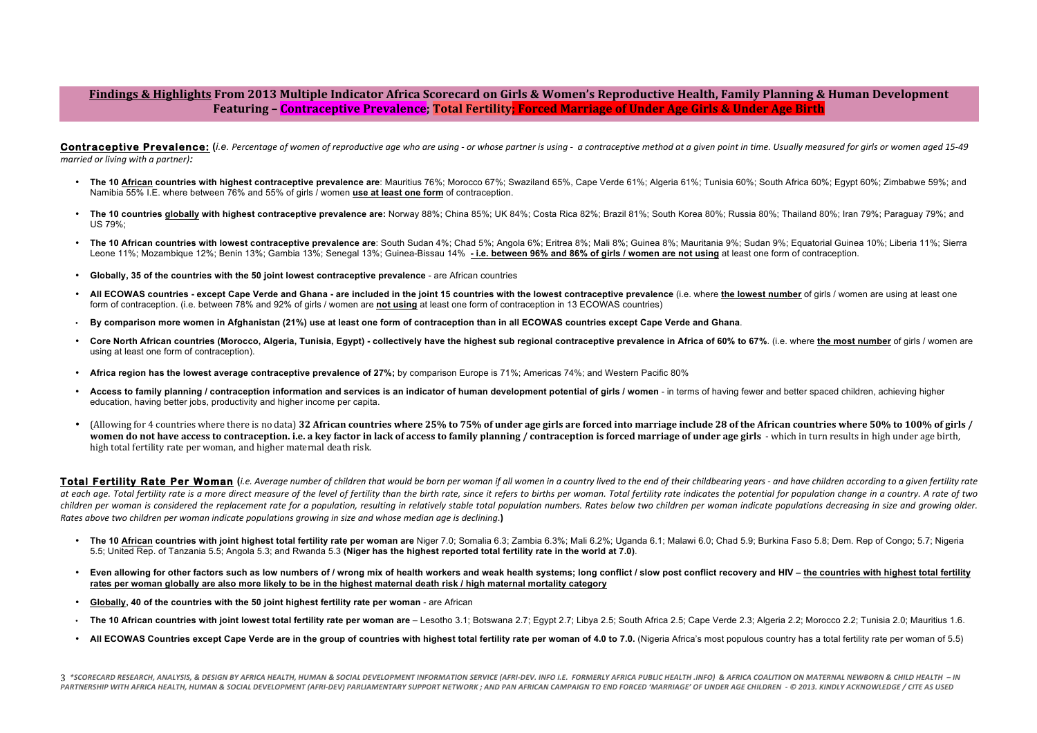# Findings & Highlights From 2013 Multiple Indicator Africa Scorecard on Girls & Women's Reproductive Health, Family Planning & Human Development Featuring – **Contraceptive Prevalence; Total Fertility; Forced Marriage of Under Age Girls & Under Age Birth**

Contraceptive Prevalence: (i.e. Percentage of women of reproductive age who are using - or whose partner is using - a contraceptive method at a given point in time. Usually measured for airls or women aged 15-49 *married or living with a partner*):

- **The 10 African countries with highest contraceptive prevalence are**: Mauritius 76%; Morocco 67%; Swaziland 65%, Cape Verde 61%; Algeria 61%; Tunisia 60%; South Africa 60%; Egypt 60%; Zimbabwe 59%; and Namibia 55% I.E. where between 76% and 55% of girls / women **use at least one form** of contraception.
- The 10 countries globally with highest contraceptive prevalence are: Norway 88%; China 85%; UK 84%; Costa Rica 82%; Brazil 81%; South Korea 80%; Russia 80%; Thailand 80%; Iran 79%; Paraguay 79%; and US 79%;
- The 10 African countries with lowest contraceptive prevalence are: South Sudan 4%; Chad 5%; Angola 6%; Eritrea 8%; Mali 8%; Guinea 8%; Mauritania 9%; Sudan 9%; Equatorial Guinea 10%; Liberia 11%; Sierra Leone 11%; Mozambique 12%; Benin 13%; Gambia 13%; Senegal 13%; Guinea-Bissau 14% **- i.e. between 96% and 86% of girls / women are not using** at least one form of contraception.
- **Globally, 35 of the countries with the 50 joint lowest contraceptive prevalence** are African countries
- All ECOWAS countries except Cape Verde and Ghana are included in the joint 15 countries with the lowest contraceptive prevalence (i.e. where the lowest number of girls / women are using at least one form of contraception. (i.e. between 78% and 92% of girls / women are **not using** at least one form of contraception in 13 ECOWAS countries)
- **By comparison more women in Afghanistan (21%) use at least one form of contraception than in all ECOWAS countries except Cape Verde and Ghana**.
- Core North African countries (Morocco, Algeria, Tunisia, Egypt) collectively have the highest sub regional contraceptive prevalence in Africa of 60% to 67%. (i.e. where the most number of girls / women are using at least one form of contraception).
- **Africa region has the lowest average contraceptive prevalence of 27%;** by comparison Europe is 71%; Americas 74%; and Western Pacific 80%
- Access to family planning *l* contraception information and services is an indicator of human development potential of girls *l* women in terms of having fewer and better spaced children, achieving higher education, having better jobs, productivity and higher income per capita.
- (Allowing for 4 countries where there is no data) **32 African countries where 25% to 75% of under age girls are forced into marriage include 28 of the African countries where 50% to 100% of girls / women do not have access to contraception. i.e. a key factor in lack of access to family planning / contraception is forced marriage of under age girls - which in turn results in high under age birth,** high total fertility rate per woman, and higher maternal death risk.

Total Fertility Rate Per Woman (i.e. Average number of children that would be born per woman if all women in a country lived to the end of their childbearing years - and have children according to a given fertility rate at each age. Total fertility rate is a more direct measure of the level of fertility than the birth rate, since it refers to births per woman. Total fertility rate indicates the potential for population change in a country children per woman is considered the replacement rate for a population, resultina in relatively stable total population numbers. Rates below two children per woman indicate populations decreasina in size and arowina older. *Rates* above two children per woman indicate populations growing in size and whose median age is declining.)

- The 10 African countries with joint highest total fertility rate per woman are Niger 7.0; Somalia 6.3; Zambia 6.3%; Mali 6.2%; Uganda 6.1; Malawi 6.0; Chad 5.9; Burkina Faso 5.8; Dem. Rep of Congo; 5.7; Nigeria 5.5; United Rep. of Tanzania 5.5; Angola 5.3; and Rwanda 5.3 **(Niger has the highest reported total fertility rate in the world at 7.0)**.
- Even allowing for other factors such as low numbers of / wrong mix of health workers and weak health systems; long conflict / slow post conflict recovery and HIV the countries with highest total fertility **rates per woman globally are also more likely to be in the highest maternal death risk / high maternal mortality category**
- **Globally, 40 of the countries with the 50 joint highest fertility rate per woman** are African
- The 10 African countries with ioint lowest total fertility rate per woman are Lesotho 3.1: Botswana 2.7: Egypt 2.7: Libya 2.5: South Africa 2.5: Cape Verde 2.3: Algeria 2.2: Morocco 2.2: Tunisia 2.0: Mauritius 1.6.
- All ECOWAS Countries except Cape Verde are in the group of countries with highest total fertility rate per woman of 4.0 to 7.0. (Nigeria Africa's most populous country has a total fertility rate per woman of 5.5)